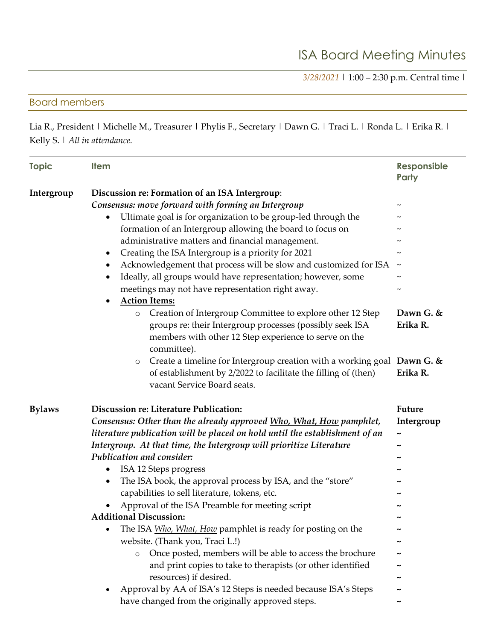*3/28/2021* | 1:00 – 2:30 p.m. Central time |

## Board members

Lia R., President | Michelle M., Treasurer | Phylis F., Secretary | Dawn G. | Traci L. | Ronda L. | Erika R. | Kelly S. | *All in attendance.*

| <b>Topic</b>  | <b>Item</b>                                                                                                                                                                                                                                                                                                                                                                                                                                                                                                                                                                                                      | <b>Responsible</b><br><b>Party</b>                   |
|---------------|------------------------------------------------------------------------------------------------------------------------------------------------------------------------------------------------------------------------------------------------------------------------------------------------------------------------------------------------------------------------------------------------------------------------------------------------------------------------------------------------------------------------------------------------------------------------------------------------------------------|------------------------------------------------------|
| Intergroup    | Discussion re: Formation of an ISA Intergroup:<br>Consensus: move forward with forming an Intergroup<br>Ultimate goal is for organization to be group-led through the<br>$\bullet$<br>formation of an Intergroup allowing the board to focus on<br>administrative matters and financial management.<br>Creating the ISA Intergroup is a priority for 2021<br>$\bullet$<br>Acknowledgement that process will be slow and customized for ISA<br>$\bullet$<br>Ideally, all groups would have representation; however, some<br>$\bullet$<br>meetings may not have representation right away.<br><b>Action Items:</b> | $\thicksim$<br>$\thicksim$                           |
|               | Creation of Intergroup Committee to explore other 12 Step<br>$\circ$<br>groups re: their Intergroup processes (possibly seek ISA<br>members with other 12 Step experience to serve on the<br>committee).<br>Create a timeline for Intergroup creation with a working goal Dawn G. $\&$<br>$\circ$<br>of establishment by 2/2022 to facilitate the filling of (then)<br>vacant Service Board seats.                                                                                                                                                                                                               | Dawn G. &<br>Erika R.<br>Erika R.                    |
| <b>Bylaws</b> | Discussion re: Literature Publication:<br>Consensus: Other than the already approved Who, What, How pamphlet,<br>literature publication will be placed on hold until the establishment of an<br>Intergroup. At that time, the Intergroup will prioritize Literature<br>Publication and consider:                                                                                                                                                                                                                                                                                                                 | <b>Future</b><br>Intergroup<br>$\tilde{\phantom{a}}$ |
|               | ISA 12 Steps progress<br>$\bullet$<br>The ISA book, the approval process by ISA, and the "store"<br>$\bullet$<br>capabilities to sell literature, tokens, etc.<br>Approval of the ISA Preamble for meeting script<br><b>Additional Discussion:</b>                                                                                                                                                                                                                                                                                                                                                               |                                                      |
|               | The ISA <i>Who, What, How</i> pamphlet is ready for posting on the<br>website. (Thank you, Traci L.!)<br>Once posted, members will be able to access the brochure<br>$\circ$<br>and print copies to take to therapists (or other identified<br>resources) if desired.<br>Approval by AA of ISA's 12 Steps is needed because ISA's Steps<br>have changed from the originally approved steps.                                                                                                                                                                                                                      | $\tilde{\phantom{a}}$                                |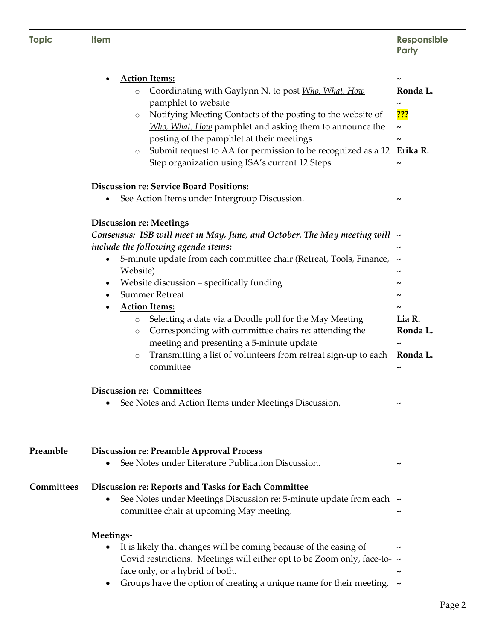| <b>Topic</b> | <b>Item</b>                                                                                                                                                                                                                                                                                                                                                                                                                                                                                                                                                                            | Responsible<br>Party                                    |
|--------------|----------------------------------------------------------------------------------------------------------------------------------------------------------------------------------------------------------------------------------------------------------------------------------------------------------------------------------------------------------------------------------------------------------------------------------------------------------------------------------------------------------------------------------------------------------------------------------------|---------------------------------------------------------|
|              | <b>Action Items:</b><br>Coordinating with Gaylynn N. to post Who, What, How<br>$\circ$<br>pamphlet to website<br>Notifying Meeting Contacts of the posting to the website of<br>$\circ$<br>Who, What, How pamphlet and asking them to announce the<br>posting of the pamphlet at their meetings<br>Submit request to AA for permission to be recognized as a 12 Erika R.<br>$\circ$<br>Step organization using ISA's current 12 Steps<br><b>Discussion re: Service Board Positions:</b><br>See Action Items under Intergroup Discussion.<br><b>Discussion re: Meetings</b>             | Ronda L.<br><mark>???</mark>                            |
|              | Consensus: ISB will meet in May, June, and October. The May meeting will $\sim$<br>include the following agenda items:<br>5-minute update from each committee chair (Retreat, Tools, Finance,<br>Website)<br>Website discussion - specifically funding<br><b>Summer Retreat</b><br><b>Action Items:</b><br>Selecting a date via a Doodle poll for the May Meeting<br>$\circ$<br>Corresponding with committee chairs re: attending the<br>$\circ$<br>meeting and presenting a 5-minute update<br>Transmitting a list of volunteers from retreat sign-up to each<br>$\circ$<br>committee | Lia R.<br>Ronda L.<br>Ronda L.<br>$\tilde{\phantom{a}}$ |
|              | <b>Discussion re: Committees</b><br>See Notes and Action Items under Meetings Discussion.                                                                                                                                                                                                                                                                                                                                                                                                                                                                                              |                                                         |
| Preamble     | <b>Discussion re: Preamble Approval Process</b><br>See Notes under Literature Publication Discussion.                                                                                                                                                                                                                                                                                                                                                                                                                                                                                  |                                                         |
| Committees   | Discussion re: Reports and Tasks for Each Committee<br>See Notes under Meetings Discussion re: 5-minute update from each ~<br>committee chair at upcoming May meeting.                                                                                                                                                                                                                                                                                                                                                                                                                 |                                                         |
|              | Meetings-<br>It is likely that changes will be coming because of the easing of<br>٠<br>Covid restrictions. Meetings will either opt to be Zoom only, face-to- ~<br>face only, or a hybrid of both.<br>Groups have the option of creating a unique name for their meeting.                                                                                                                                                                                                                                                                                                              | ~                                                       |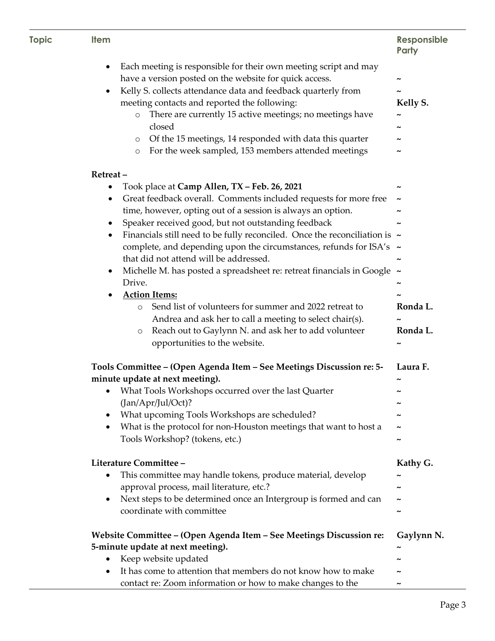| <b>Topic</b> | <b>Item</b>                                                                                                                     | <b>Responsible</b><br>Party |
|--------------|---------------------------------------------------------------------------------------------------------------------------------|-----------------------------|
|              | Each meeting is responsible for their own meeting script and may<br>٠<br>have a version posted on the website for quick access. | ∼                           |
|              | Kelly S. collects attendance data and feedback quarterly from                                                                   |                             |
|              | meeting contacts and reported the following:                                                                                    | Kelly S.                    |
|              | There are currently 15 active meetings; no meetings have<br>$\circ$                                                             |                             |
|              | closed                                                                                                                          |                             |
|              | Of the 15 meetings, 14 responded with data this quarter<br>$\circ$                                                              |                             |
|              | For the week sampled, 153 members attended meetings<br>$\circ$                                                                  | ∼                           |
|              | Retreat-                                                                                                                        |                             |
|              | Took place at Camp Allen, TX - Feb. 26, 2021<br>٠                                                                               |                             |
|              | Great feedback overall. Comments included requests for more free                                                                | $\tilde{\phantom{a}}$       |
|              | time, however, opting out of a session is always an option.                                                                     |                             |
|              | Speaker received good, but not outstanding feedback<br>٠                                                                        |                             |
|              | Financials still need to be fully reconciled. Once the reconciliation is $\sim$                                                 |                             |
|              | complete, and depending upon the circumstances, refunds for ISA's $\sim$                                                        |                             |
|              | that did not attend will be addressed.                                                                                          |                             |
|              | Michelle M. has posted a spreadsheet re: retreat financials in Google ~<br>٠                                                    |                             |
|              | Drive.                                                                                                                          | ~                           |
|              | <b>Action Items:</b>                                                                                                            |                             |
|              | Send list of volunteers for summer and 2022 retreat to<br>$\circ$                                                               | Ronda L.                    |
|              | Andrea and ask her to call a meeting to select chair(s).                                                                        |                             |
|              | Reach out to Gaylynn N. and ask her to add volunteer<br>$\circ$                                                                 | Ronda L.                    |
|              | opportunities to the website.                                                                                                   |                             |
|              | Tools Committee – (Open Agenda Item – See Meetings Discussion re: 5-                                                            | Laura F.                    |
|              | minute update at next meeting).                                                                                                 |                             |
|              | What Tools Workshops occurred over the last Quarter<br>٠<br>(Jan/Apr/Jul/Oct)?                                                  |                             |
|              | What upcoming Tools Workshops are scheduled?<br>٠                                                                               |                             |
|              | What is the protocol for non-Houston meetings that want to host a<br>٠                                                          |                             |
|              | Tools Workshop? (tokens, etc.)                                                                                                  | ∼                           |
|              |                                                                                                                                 |                             |
|              | Literature Committee -                                                                                                          | Kathy G.                    |
|              | This committee may handle tokens, produce material, develop                                                                     |                             |
|              | approval process, mail literature, etc.?                                                                                        |                             |
|              | Next steps to be determined once an Intergroup is formed and can                                                                |                             |
|              | coordinate with committee                                                                                                       | ~                           |
|              | Website Committee – (Open Agenda Item – See Meetings Discussion re:                                                             | Gaylynn N.                  |
|              | 5-minute update at next meeting).                                                                                               |                             |
|              | Keep website updated<br>$\bullet$                                                                                               |                             |
|              | It has come to attention that members do not know how to make                                                                   |                             |
|              | contact re: Zoom information or how to make changes to the                                                                      |                             |